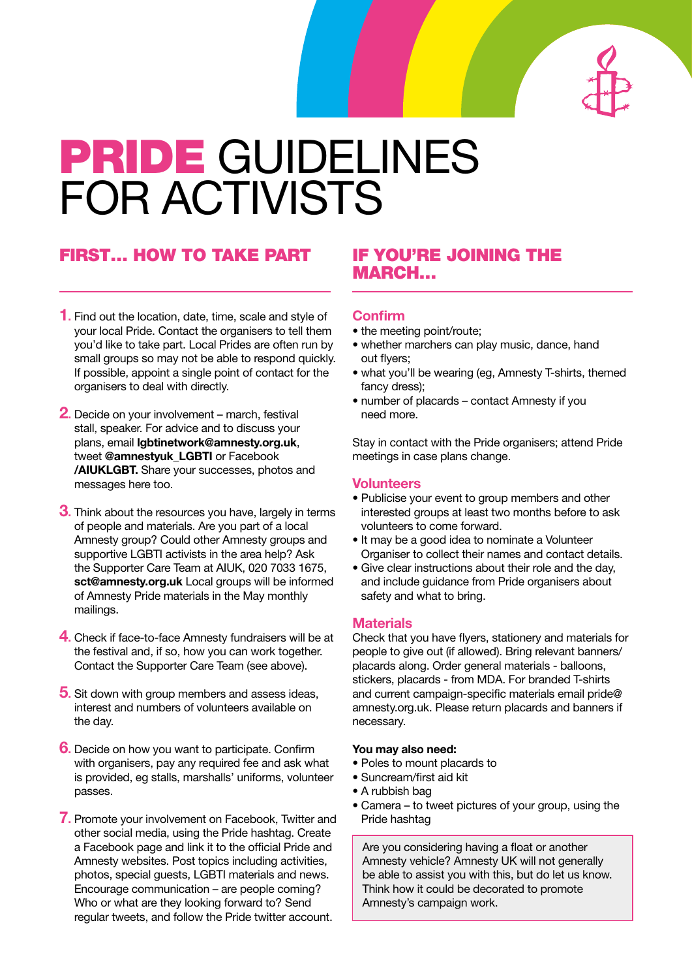

# PRIDE GUIDELINES FOR ACTIVISTS

## FIRST... HOW TO TAKE PART IF YOU'RE JOINING THE

- **1.** Find out the location, date, time, scale and style of your local Pride. Contact the organisers to tell them you'd like to take part. Local Prides are often run by small groups so may not be able to respond quickly. If possible, appoint a single point of contact for the organisers to deal with directly.
- **2.** Decide on your involvement march, festival stall, speaker. For advice and to discuss your plans, email **lgbtinetwork@amnesty.org.uk**, tweet **@amnestyuk\_LGBTI** or Facebook **/AIUKLGBT.** Share your successes, photos and messages here too.
- **3.** Think about the resources you have, largely in terms of people and materials. Are you part of a local Amnesty group? Could other Amnesty groups and supportive LGBTI activists in the area help? Ask the Supporter Care Team at AIUK, 020 7033 1675, **sct@amnesty.org.uk** Local groups will be informed of Amnesty Pride materials in the May monthly mailings.
- **4.** Check if face-to-face Amnesty fundraisers will be at the festival and, if so, how you can work together. Contact the Supporter Care Team (see above).
- **5.** Sit down with group members and assess ideas, interest and numbers of volunteers available on the day.
- **6.** Decide on how you want to participate. Confirm with organisers, pay any required fee and ask what is provided, eg stalls, marshalls' uniforms, volunteer passes.
- **7.** Promote your involvement on Facebook, Twitter and other social media, using the Pride hashtag. Create a Facebook page and link it to the official Pride and Amnesty websites. Post topics including activities, photos, special guests, LGBTI materials and news. Encourage communication – are people coming? Who or what are they looking forward to? Send regular tweets, and follow the Pride twitter account.

## MARCH…

#### **Confirm**

- the meeting point/route;
- whether marchers can play music, dance, hand out flyers;
- what you'll be wearing (eg, Amnesty T-shirts, themed fancy dress);
- number of placards contact Amnesty if you need more.

Stay in contact with the Pride organisers; attend Pride meetings in case plans change.

#### **Volunteers**

- Publicise your event to group members and other interested groups at least two months before to ask volunteers to come forward.
- It may be a good idea to nominate a Volunteer Organiser to collect their names and contact details.
- Give clear instructions about their role and the day, and include guidance from Pride organisers about safety and what to bring.

#### **Materials**

Check that you have flyers, stationery and materials for people to give out (if allowed). Bring relevant banners/ placards along. Order general materials - balloons, stickers, placards - from MDA. For branded T-shirts and current campaign-specific materials email pride@ amnesty.org.uk. Please return placards and banners if necessary.

#### **You may also need:**

- Poles to mount placards to
- Suncream/first aid kit
- A rubbish bag
- Camera to tweet pictures of your group, using the Pride hashtag

Are you considering having a float or another Amnesty vehicle? Amnesty UK will not generally be able to assist you with this, but do let us know. Think how it could be decorated to promote Amnesty's campaign work.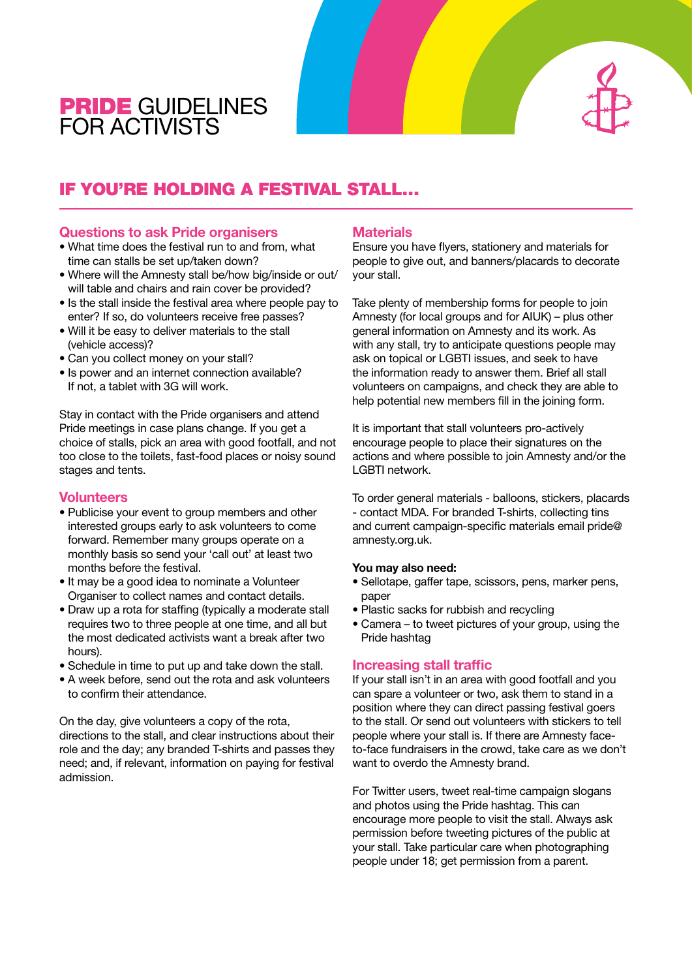## PRIDE GUIDELINES FOR ACTIVISTS

## IF YOU'RE HOLDING A FESTIVAL STALL…

#### **Questions to ask Pride organisers**

- What time does the festival run to and from, what time can stalls be set up/taken down?
- Where will the Amnesty stall be/how big/inside or out/ will table and chairs and rain cover be provided?
- Is the stall inside the festival area where people pay to enter? If so, do volunteers receive free passes?
- Will it be easy to deliver materials to the stall (vehicle access)?
- Can you collect money on your stall?
- Is power and an internet connection available? If not, a tablet with 3G will work.

Stay in contact with the Pride organisers and attend Pride meetings in case plans change. If you get a choice of stalls, pick an area with good footfall, and not too close to the toilets, fast-food places or noisy sound stages and tents.

#### **Volunteers**

- Publicise your event to group members and other interested groups early to ask volunteers to come forward. Remember many groups operate on a monthly basis so send your 'call out' at least two months before the festival.
- It may be a good idea to nominate a Volunteer Organiser to collect names and contact details.
- Draw up a rota for staffing (typically a moderate stall requires two to three people at one time, and all but the most dedicated activists want a break after two hours).
- Schedule in time to put up and take down the stall.
- A week before, send out the rota and ask volunteers to confirm their attendance.

On the day, give volunteers a copy of the rota, directions to the stall, and clear instructions about their role and the day; any branded T-shirts and passes they need; and, if relevant, information on paying for festival admission.

#### **Materials**

Ensure you have flyers, stationery and materials for people to give out, and banners/placards to decorate your stall.

Take plenty of membership forms for people to join Amnesty (for local groups and for AIUK) – plus other general information on Amnesty and its work. As with any stall, try to anticipate questions people may ask on topical or LGBTI issues, and seek to have the information ready to answer them. Brief all stall volunteers on campaigns, and check they are able to help potential new members fill in the joining form.

It is important that stall volunteers pro-actively encourage people to place their signatures on the actions and where possible to join Amnesty and/or the LGBTI network.

To order general materials - balloons, stickers, placards - contact MDA. For branded T-shirts, collecting tins and current campaign-specific materials email pride@ amnesty.org.uk.

#### **You may also need:**

- Sellotape, gaffer tape, scissors, pens, marker pens, paper
- Plastic sacks for rubbish and recycling
- Camera to tweet pictures of your group, using the Pride hashtag

#### **Increasing stall traffic**

If your stall isn't in an area with good footfall and you can spare a volunteer or two, ask them to stand in a position where they can direct passing festival goers to the stall. Or send out volunteers with stickers to tell people where your stall is. If there are Amnesty faceto-face fundraisers in the crowd, take care as we don't want to overdo the Amnesty brand.

For Twitter users, tweet real-time campaign slogans and photos using the Pride hashtag. This can encourage more people to visit the stall. Always ask permission before tweeting pictures of the public at your stall. Take particular care when photographing people under 18; get permission from a parent.